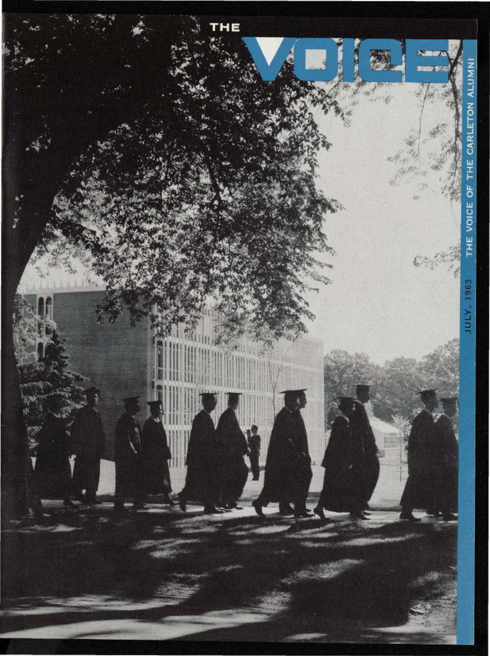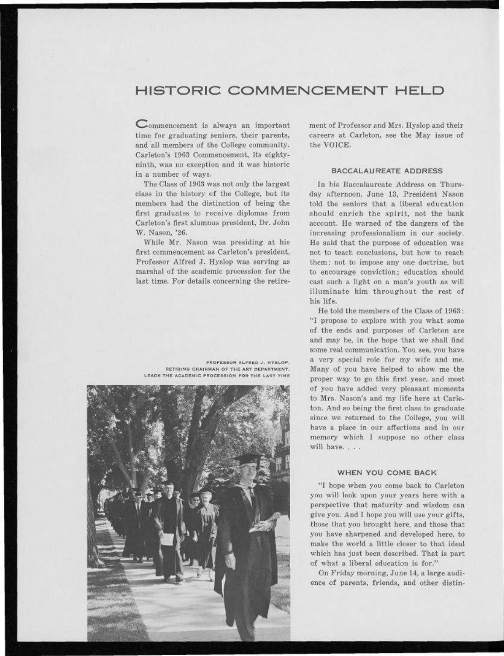# **HISTORIC COMMENCEMENT HELD**

 $\mathbb{C}$ ommencement is always an important time for graduating seniors, their parents, and all members of the College community. Carleton's 1963 Commencement, its eightyninth, was no exception and it was historic in a number of ways.

The Class of 1963 was not only the largest class in the history of the College, but its members had the distinction of being the first graduates to receive diplomas from Carleton's first alumnus president, Dr. John W. Nason, '26.

While Mr. Nason was presiding at his first commencement as Carleton's president, Professor Alfred J. Hyslop was serving as marshal of the academic procession for the last time. For details concerning the retire-

PROFESSOR ALFRED J. HYSLOP, RETIRING CHAIRMAN OF THE ART DEPARTMENT, LEADS THE ACADEMIC PROCESSION FOR THE LAST TIME



ment of Professor and Mrs. Hyslop and their careers at Carleton, see the May issue of the VOICE.

### BACCALAUREATE ADDRESS

In his Baccalaureate Address on Thursday afternoon, June 13, President Nason told the seniors that a liberal education should enrich the spirit, not the bank account. He warned of the dangers of the increasing professionalism in our society. He said that the purpose of education was not to teach conclusions, but how to reach them; not to impose any one doctrine, but to encourage conviction; education should cast such a light on a man's youth as will illuminate him throughout the rest of his life.

He told the members of the Class of 1963: "I propose to explore with you what some of the ends and purposes of Carleton are and may be, in the hope that we shall find some real communication. You see, you have a very special role for my wife and me. Many of you have helped to show me the proper way to go this first year, and most of you have added very pleasant moments to Mrs. Nason's and my life here at Carleton. And so being the first class to graduate since we returned to the College, you will have a place in our affections and in our memory which I suppose no other class will have. . . .

## WHEN YOU COME BACK

"I hope when you come back to Carleton you will look upon your years here with a perspective that maturity and wisdom can give you. And I hope you will use your gifts, those that you brought here, and those that you have sharpened and developed here, to make the world a little closer to that ideal which has just been described. That is part of what a liberal education is for."

On Friday morning, June 14, a large audience of parents, friends, and other distin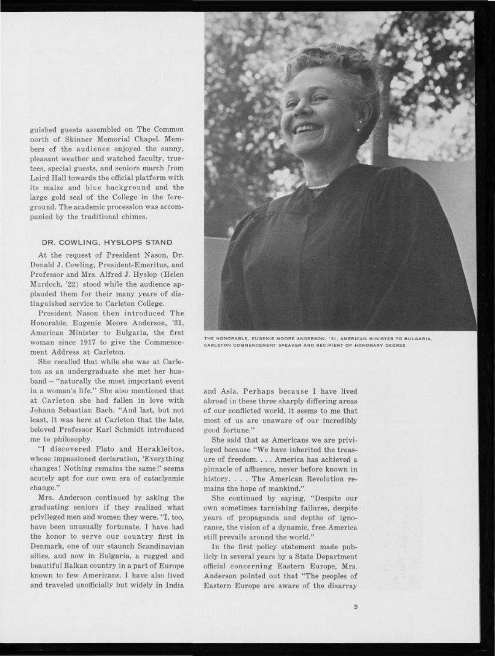guished guests assembled on The Common north of Skinner Memorial Chapel. Members of the audience enjoyed the sunny, pleasant weather and watched faculty, trustees, special guests, and seniors march from Laird Hall towards the official platform with its maize and blue background and the large gold seal of the College in the foreground. The academic procession was accompanied by the traditional chimes.

#### DR. COWLING, HYSLOPS STAND

At the request of President Nason, Dr. Donald J. Cowling, President-Emeritus, and Professor and Mrs. Alfred J. Hyslop (Helen Murdoch, '22) stood while the audience applauded them for their many years of distinguished service to Carleton College.

President Nason then introduced The Honorable, Eugenie Moore Anderson, '31, American Minister to Bulgaria, the first woman since 1917 to give the Commencement Address at Carleton.

She recalled that while she was at Carleton as an undergraduate she met her husband — "naturally the most important event in a woman's life." She also mentioned that at Carleton she had fallen in love with Johann Sebastian Bach. "And last, but not least, it was here at Carleton that the late, beloved Professor Karl Schmidt introduced me to philosophy.

"I discovered Plato and Herakleitos, whose impassioned declaration, 'Everything changes! Nothing remains the same!' seems acutely apt for our own era of cataclysmic change."

Mrs. Anderson continued by asking the graduating seniors if they realized what privileged men and women they were. "I, too, have been unusually fortunate. I have had the honor to serve our country first in Denmark, one of our staunch Scandinavian allies, and now in Bulgaria, a rugged and beautiful Balkan country in a part of Europe known to few Americans. I have also lived and traveled unofficially but widely in India



THE HONORABLE, EUGENIE MOORE ANDERSON, '31, AMERICAN MINISTER TO BULGARIA, CARLETON COMMENCEMENT SPEAKER AND RECIPIENT OF HONORARY DEGREE

and Asia. Perhaps because I have lived abroad in these three sharply differing areas of our conflicted world, it seems to me that most of us are unaware of our incredibly good fortune."

She said that as Americans we are privileged because "We have inherited the treasure of freedom. . . . America has achieved a pinnacle of affluence, never before known in history. . . . The American Revolution remains the hope of mankind."

She continued by saying, "Despite our own sometimes tarnishing failures, despite years of propaganda and depths of ignorance, the vision of a dynamic, free America still prevails around the world."

In the first policy statement made publicly in several years by a State Department official concerning Eastern Europe, Mrs. Anderson pointed out that "The peoples of Eastern Europe are aware of the disarray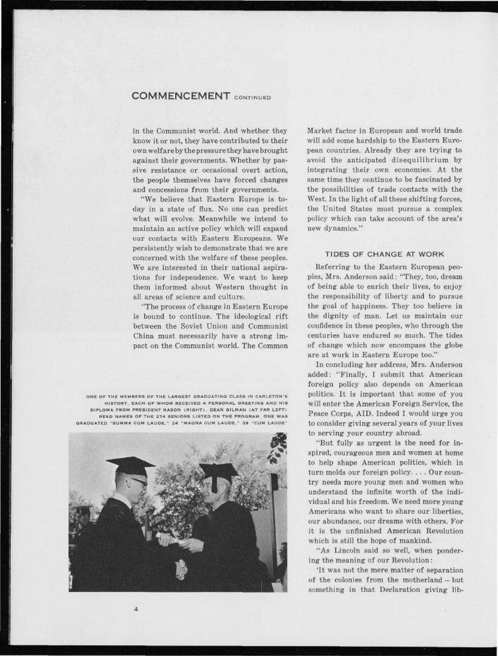# COMMENCEMENT CONTINUED

in the Communist world. And whether they know it or not, they have contributed to their own welfare by the pressure they have brought against their governments. Whether by passive resistance or occasional overt action, the people themselves have forced changes and concessions from their governments.

"We believe that Eastern Europe is today in a state of flux. No one can predict what will evolve. Meanwhile we intend to maintain an active policy which will expand our contacts with Eastern Europeans. We persistently wish to demonstrate that we are concerned with the welfare of these peoples. We are interested in their national aspirations for independence. We want to keep them informed about Western thought in all areas of science and culture.

"The process of change in Eastern Europe is bound to continue. The ideological rift between the Soviet Union and Communist China must necessarily have a strong impact on the Communist world. The Common

ONE OF THE MEMBERS OF THE LARGEST GRADUATING CLASS IN CARLETON'S HISTORY, EACH OF WHOM RECEIVED A PERSONAL GREETING AND HIS DIPLOMA FROM PRESIDENT NASON (RIGHT). DEAN GILMAN (AT FAR LEFT) READ NAMES OF THE 274 SENIORS LISTED ON THE PROGRAM. ONE WAS GRADUATED "SUMMA CUM LAUDE," 24 "MAGNA CUM LAUDE," 39 "CUM LAUDE"



 $\bar{A}$ 

Market factor in European and world trade will add some hardship to the Eastern European countries. Already they are trying to avoid the anticipated disequilibrium by integrating their own economies. At the same time they continue to be fascinated by the possibilities of trade contacts with the West. In the light of all these shifting forces, the United States must pursue a complex policy which can take account of the area's new dynamics."

## TIDES OF CHANGE AT WORK

Referring to the Eastern European peoples, Mrs. Anderson said: "They, too, dream of being able to enrich their lives, to enjoy the responsibility of liberty and to pursue the goal of happiness. They too believe in the dignity of man. Let us maintain our confidence in these peoples, who through the centuries have endured so much. The tides of change which now encompass the globe are at work in Eastern Europe too."

In concluding her address, Mrs. Anderson added: "Finally, I submit that American foreign policy also depends on American politics. It is important that some of you will enter the American Foreign Service, the Peace Corps, AID. Indeed I would urge you to consider giving several years of your lives to serving your country abroad.

"But fully as urgent is the need for inspired, courageous men and women at home to help shape American politics, which in turn molds our foreign policy. . . . Our country needs more young men and women who understand the infinite worth of the individual and his freedom. We need more young Americans who want to share our liberties, our abundance, our dreams with others. For it is the unfinished American Revolution which is still the hope of mankind.

"As Lincoln said so well, when pondering the meaning of our Revolution:

'It was not the mere matter of separation of the colonies from the motherland — but something in that Declaration giving lib-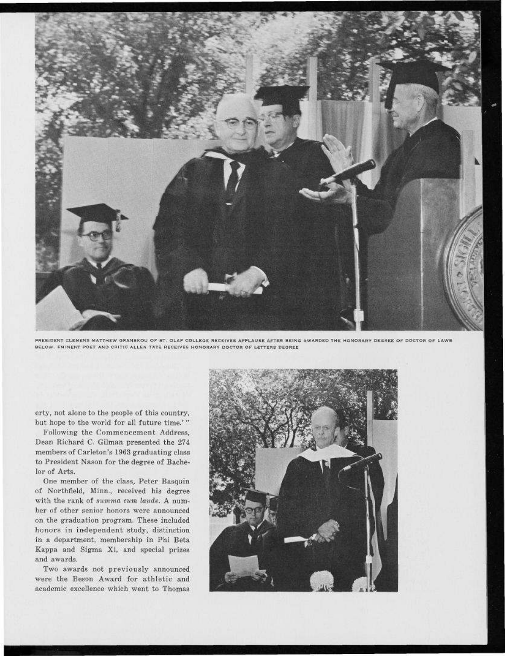

PRESIDENT CLEMENS MATTHEW GRANSKOU OF ST. OLAF COLLEGE RECEIVES APPLAUSE AFTER BEING AWARDED THE HONORARY DEGREE OF DOCTOR OF LAWS BELOW: EMINENT POET AND CRITIC ALLEN TATE RECEIVES HONORARY DOCTOR OF LETTERS DEGREE

erty, not alone to the people of this country, but hope to the world for all future time.'"

Following the Commencement Address, Dean Richard C. Gilman presented the 274 members of Carleton's 1963 graduating class to President Nason for the degree of Bachelor of Arts.

One member of the class, Peter Basquin of Northfield, Minn., received his degree with the rank of *summa cum laude. A* number of other senior honors were announced on the graduation program. These included honors in independent study, distinction in a department, membership in Phi Beta Kappa and Sigma Xi, and special prizes and awards.

Two awards not previously announced were the Beson Award for athletic and academic excellence which went to Thomas

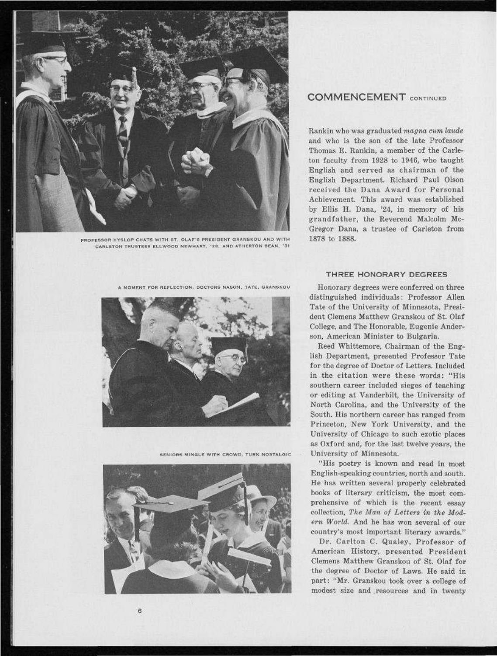

PROFESSOR HYSLOP CHATS WITH ST. OLAF'S PRESIDENT GRANSKOU AND WITH CARLETON TRUSTEES ELLWOOD NEWHART, '28, AND ATHERTON BEAN, '31

A MOMENT FOR REFLECTION; DOCTORS NASON, TATE, GRANSKOU



SENIORS MINGLE WITH CROWD, TURN NOSTALGIC



# COMMENCEMENT CONTINUED

Rankin who was graduated *magna cum laude*  and who is the son of the late Professor Thomas E. Rankin, a member of the Carleton faculty from 1928 to 1946, who taught English and served as chairman of the English Department. Richard Paul Olson received the Dana Award for Personal Achievement. This award was established by Ellis H. Dana, '24, in memory of his grandfather, the Reverend Malcolm Mc-Gregor Dana, a trustee of Carleton from 1878 to 1888.

#### THREE HONORARY DEGREES

Honorary degrees were conferred on three distinguished individuals: Professor Allen Tate of the University of Minnesota, President Clemens Matthew Granskou of St. Olaf College, and The Honorable, Eugenie Anderson, American Minister to Bulgaria.

Reed Whittemore, Chairman of the English Department, presented Professor Tate for the degree of Doctor of Letters. Included in the citation were these words: "His southern career included sieges of teaching or editing at Vanderbilt, the University of North Carolina, and the University of the South. His northern career has ranged from Princeton, New York University, and the University of Chicago to such exotic places as Oxford and, for the last twelve years, the University of Minnesota.

"His poetry is known and read in most English-speaking countries, north and south. He has written several properly celebrated books of literary criticism, the most comprehensive of which is the recent essay collection. *The Man of Letters in the Modern World.* And he has won several of our country's most important literary awards."

Dr. Carlton C. Qualey, Professor of American History, presented President Clemens Matthew Granskou of St. Olaf for the degree of Doctor of Laws. He said in part: "Mr. Granskou took over a college of modest size and .resources and in twenty